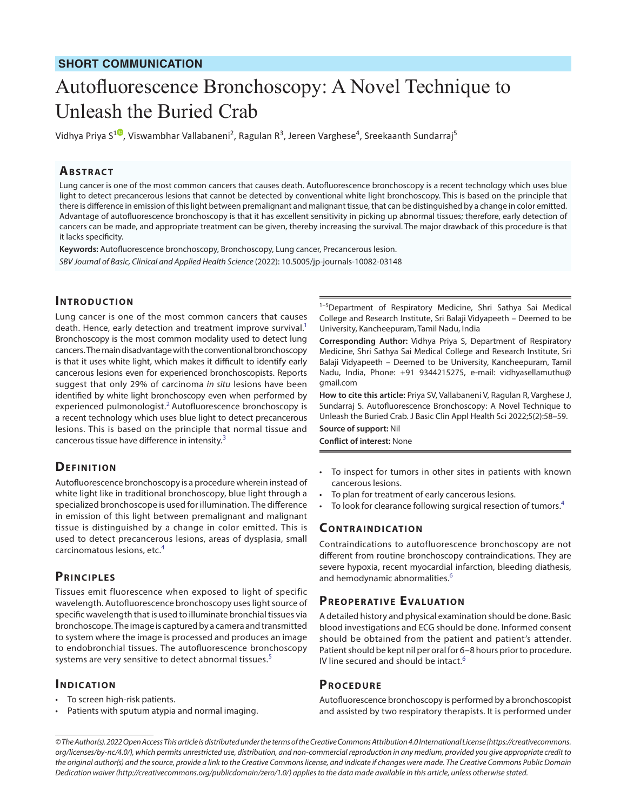# Autofluorescence Bronchoscopy: A Novel Technique to Unleash the Buried Crab

Vidhya Priya S<sup>[1](https://orcid.org/0000-0002-9303-5063)©</sup>, Viswambhar Vallabaneni<sup>2</sup>, Ragulan R<sup>3</sup>, Jereen Varghese<sup>4</sup>, Sreekaanth Sundarraj<sup>5</sup>

#### **ABSTRACT**

Lung cancer is one of the most common cancers that causes death. Autofluorescence bronchoscopy is a recent technology which uses blue light to detect precancerous lesions that cannot be detected by conventional white light bronchoscopy. This is based on the principle that there is difference in emission of this light between premalignant and malignant tissue, that can be distinguished by a change in color emitted. Advantage of autofluorescence bronchoscopy is that it has excellent sensitivity in picking up abnormal tissues; therefore, early detection of cancers can be made, and appropriate treatment can be given, thereby increasing the survival. The major drawback of this procedure is that it lacks specificity.

**Keywords:** Autofluorescence bronchoscopy, Bronchoscopy, Lung cancer, Precancerous lesion. *SBV Journal of Basic, Clinical and Applied Health Science* (2022): 10.5005/jp-journals-10082-03148

#### **INTRODUCTION**

Lung cancer is one of the most common cancers that causes death. Hence, early detection and treatment improve survival.<sup>1</sup> Bronchoscopy is the most common modality used to detect lung cancers. The main disadvantage with the conventional bronchoscopy is that it uses white light, which makes it difficult to identify early cancerous lesions even for experienced bronchoscopists. Reports suggest that only 29% of carcinoma *in situ* lesions have been identified by white light bronchoscopy even when performed by experienced pulmonologist.<sup>[2](#page-1-1)</sup> Autofluorescence bronchoscopy is a recent technology which uses blue light to detect precancerous lesions. This is based on the principle that normal tissue and cancerous tissue have difference in intensity.<sup>[3](#page-1-2)</sup>

#### **DEFINITION**

Autofluorescence bronchoscopy is a procedure wherein instead of white light like in traditional bronchoscopy, blue light through a specialized bronchoscope is used for illumination. The difference in emission of this light between premalignant and malignant tissue is distinguished by a change in color emitted. This is used to detect precancerous lesions, areas of dysplasia, small carcinomatous lesions, etc.[4](#page-1-3)

#### **Prin cipl e s**

Tissues emit fluorescence when exposed to light of specific wavelength. Autofluorescence bronchoscopy uses light source of specific wavelength that is used to illuminate bronchial tissues via bronchoscope. The image is captured by a camera and transmitted to system where the image is processed and produces an image to endobronchial tissues. The autofluorescence bronchoscopy systems are very sensitive to detect abnormal tissues.<sup>[5](#page-1-4)</sup>

#### **INDICATION**

- To screen high-risk patients.
- Patients with sputum atypia and normal imaging.

<sup>1-5</sup>Department of Respiratory Medicine, Shri Sathya Sai Medical College and Research Institute, Sri Balaji Vidyapeeth – Deemed to be University, Kancheepuram, Tamil Nadu, India

**Corresponding Author:** Vidhya Priya S, Department of Respiratory Medicine, Shri Sathya Sai Medical College and Research Institute, Sri Balaji Vidyapeeth – Deemed to be University, Kancheepuram, Tamil Nadu, India, Phone: +91 9344215275, e-mail: vidhyasellamuthu@ gmail.com

**How to cite this article:** Priya SV, Vallabaneni V, Ragulan R, Varghese J, Sundarraj S. Autofluorescence Bronchoscopy: A Novel Technique to Unleash the Buried Crab. J Basic Clin Appl Health Sci 2022;5(2):58–59.

**Source of support:** Nil **Conflict of interest:** None

- To inspect for tumors in other sites in patients with known cancerous lesions.
- To plan for treatment of early cancerous lesions.
- To look for clearance following surgical resection of tumors.<sup>[4](#page-1-3)</sup>

#### **CONTRAINDICATION**

Contraindications to autofluorescence bronchoscopy are not different from routine bronchoscopy contraindications. They are severe hypoxia, recent myocardial infarction, bleeding diathesis, and hemodynamic abnormalities.<sup>[6](#page-1-5)</sup>

#### **PREOPERATIVE EVALUATION**

A detailed history and physical examination should be done. Basic blood investigations and ECG should be done. Informed consent should be obtained from the patient and patient's attender. Patient should be kept nil per oral for 6–8 hours prior to procedure. IV line secured and should be intact.<sup>[6](#page-1-5)</sup>

#### **PROCEDURE**

Autofluorescence bronchoscopy is performed by a bronchoscopist and assisted by two respiratory therapists. It is performed under

*<sup>©</sup> The Author(s). 2022 Open Access This article is distributed under the terms of the Creative Commons Attribution 4.0 International License ([https://creativecommons.](https://creativecommons.org/licenses/by-nc/4.0/) [org/licenses/by-nc/4.0/](https://creativecommons.org/licenses/by-nc/4.0/)), which permits unrestricted use, distribution, and non-commercial reproduction in any medium, provided you give appropriate credit to the original author(s) and the source, provide a link to the Creative Commons license, and indicate if changes were made. The Creative Commons Public Domain Dedication waiver ([http://creativecommons.org/publicdomain/zero/1.0/\)](http://creativecommons.org/publicdomain/zero/1.0/) applies to the data made available in this article, unless otherwise stated.*